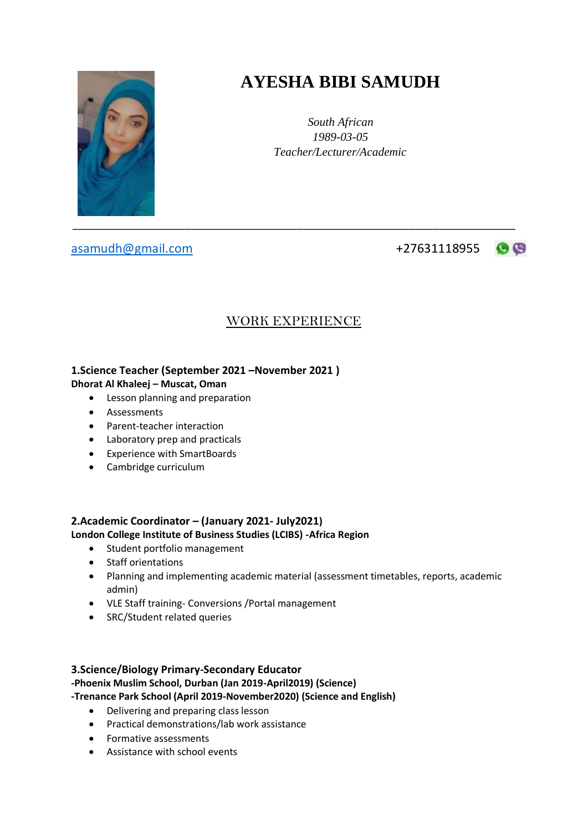

# **AYESHA BIBI SAMUDH**

*South African 1989-03-05 Teacher/Lecturer/Academic*

[asamudh@gmail.com](mailto:asamudh@gmail.com) +27631118955

 $\mathbf{C}$ 

# WORK EXPERIENCE

## **1.Science Teacher (September 2021 –November 2021 )**

## **Dhorat Al Khaleej – Muscat, Oman**

- Lesson planning and preparation
- Assessments
- Parent-teacher interaction
- Laboratory prep and practicals
- Experience with SmartBoards
- Cambridge curriculum

## **2.Academic Coordinator – (January 2021- July2021)**

## **London College Institute of Business Studies (LCIBS) -Africa Region**

- Student portfolio management
- Staff orientations
- Planning and implementing academic material (assessment timetables, reports, academic admin)
- VLE Staff training- Conversions /Portal management
- SRC/Student related queries

## **3.Science/Biology Primary-Secondary Educator**

## **-Phoenix Muslim School, Durban (Jan 2019-April2019) (Science)**

**-Trenance Park School (April 2019-November2020) (Science and English)**

- Delivering and preparing class lesson
- Practical demonstrations/lab work assistance
- Formative assessments
- Assistance with school events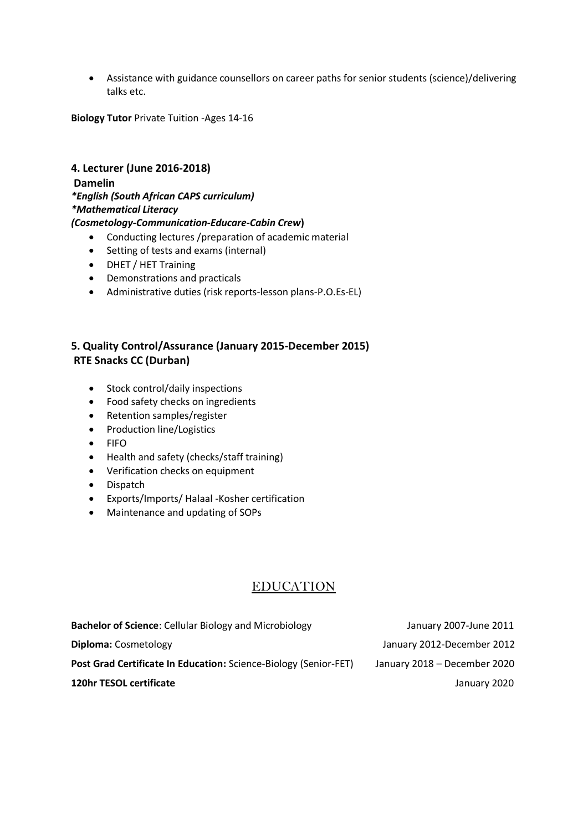Assistance with guidance counsellors on career paths for senior students (science)/delivering talks etc.

**Biology Tutor** Private Tuition -Ages 14-16

## **4. Lecturer (June 2016-2018) Damelin** *\*English (South African CAPS curriculum) \*Mathematical Literacy*

#### *(Cosmetology-Communication-Educare-Cabin Crew***)**

- Conducting lectures /preparation of academic material
- Setting of tests and exams (internal)
- DHET / HET Training
- Demonstrations and practicals
- Administrative duties (risk reports-lesson plans-P.O.Es-EL)

## **5. Quality Control/Assurance (January 2015-December 2015) RTE Snacks CC (Durban)**

- Stock control/daily inspections
- Food safety checks on ingredients
- Retention samples/register
- Production line/Logistics
- FIFO
- Health and safety (checks/staff training)
- Verification checks on equipment
- Dispatch
- Exports/Imports/ Halaal -Kosher certification
- Maintenance and updating of SOPs

## EDUCATION

| <b>Bachelor of Science:</b> Cellular Biology and Microbiology    | January 2007-June 2011       |
|------------------------------------------------------------------|------------------------------|
| <b>Diploma:</b> Cosmetology                                      | January 2012-December 2012   |
| Post Grad Certificate In Education: Science-Biology (Senior-FET) | January 2018 - December 2020 |
| <b>120hr TESOL certificate</b>                                   | January 2020                 |